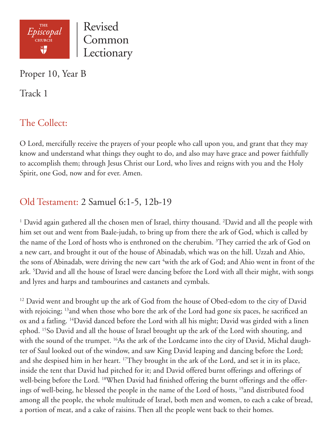

Proper 10, Year B

Track 1

# The Collect:

O Lord, mercifully receive the prayers of your people who call upon you, and grant that they may know and understand what things they ought to do, and also may have grace and power faithfully to accomplish them; through Jesus Christ our Lord, who lives and reigns with you and the Holy Spirit, one God, now and for ever. Amen.

## Old Testament: 2 Samuel 6:1-5, 12b-19

<sup>1</sup> David again gathered all the chosen men of Israel, thirty thousand. <sup>2</sup>David and all the people with him set out and went from Baale-judah, to bring up from there the ark of God, which is called by the name of the Lord of hosts who is enthroned on the cherubim. <sup>3</sup>They carried the ark of God on a new cart, and brought it out of the house of Abinadab, which was on the hill. Uzzah and Ahio, the sons of Abinadab, were driving the new cart <sup>4</sup>with the ark of God; and Ahio went in front of the ark. 5 David and all the house of Israel were dancing before the Lord with all their might, with songs and lyres and harps and tambourines and castanets and cymbals.

<sup>12</sup> David went and brought up the ark of God from the house of Obed-edom to the city of David with rejoicing; <sup>13</sup> and when those who bore the ark of the Lord had gone six paces, he sacrificed an ox and a fatling. 14David danced before the Lord with all his might; David was girded with a linen ephod. 15So David and all the house of Israel brought up the ark of the Lord with shouting, and with the sound of the trumpet. <sup>16</sup>As the ark of the Lordcame into the city of David, Michal daughter of Saul looked out of the window, and saw King David leaping and dancing before the Lord; and she despised him in her heart. <sup>17</sup>They brought in the ark of the Lord, and set it in its place, inside the tent that David had pitched for it; and David offered burnt offerings and offerings of well-being before the Lord. <sup>18</sup>When David had finished offering the burnt offerings and the offerings of well-being, he blessed the people in the name of the Lord of hosts, <sup>19</sup>and distributed food among all the people, the whole multitude of Israel, both men and women, to each a cake of bread, a portion of meat, and a cake of raisins. Then all the people went back to their homes.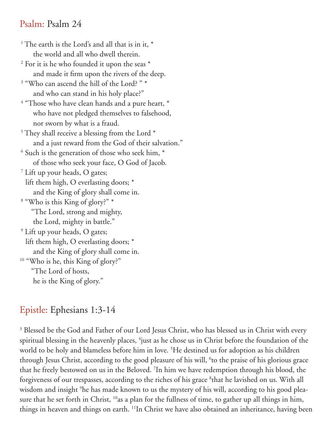#### Psalm: Psalm 24

<sup>1</sup> The earth is the Lord's and all that is in it,  $*$  the world and all who dwell therein. <sup>2</sup> For it is he who founded it upon the seas \* and made it firm upon the rivers of the deep. <sup>3</sup> "Who can ascend the hill of the Lord? " \* and who can stand in his holy place?" <sup>4</sup> "Those who have clean hands and a pure heart, \* who have not pledged themselves to falsehood, nor sworn by what is a fraud.  $5$  They shall receive a blessing from the Lord  $*$  and a just reward from the God of their salvation."  $6$  Such is the generation of those who seek him,  $*$  of those who seek your face, O God of Jacob. 7 Lift up your heads, O gates; lift them high, O everlasting doors; \* and the King of glory shall come in. 8 "Who is this King of glory?" \* "The Lord, strong and mighty, the Lord, mighty in battle." 9 Lift up your heads, O gates; lift them high, O everlasting doors; \* and the King of glory shall come in. <sup>10</sup> "Who is he, this King of glory?" "The Lord of hosts, he is the King of glory."

## Epistle: Ephesians 1:3-14

<sup>3</sup> Blessed be the God and Father of our Lord Jesus Christ, who has blessed us in Christ with every spiritual blessing in the heavenly places, <sup>4</sup>just as he chose us in Christ before the foundation of the world to be holy and blameless before him in love. 5 He destined us for adoption as his children through Jesus Christ, according to the good pleasure of his will, <sup>6</sup>to the praise of his glorious grace that he freely bestowed on us in the Beloved. 7 In him we have redemption through his blood, the forgiveness of our trespasses, according to the riches of his grace <sup>8</sup>that he lavished on us. With all wisdom and insight 9 he has made known to us the mystery of his will, according to his good pleasure that he set forth in Christ, <sup>10</sup>as a plan for the fullness of time, to gather up all things in him, things in heaven and things on earth. 11In Christ we have also obtained an inheritance, having been